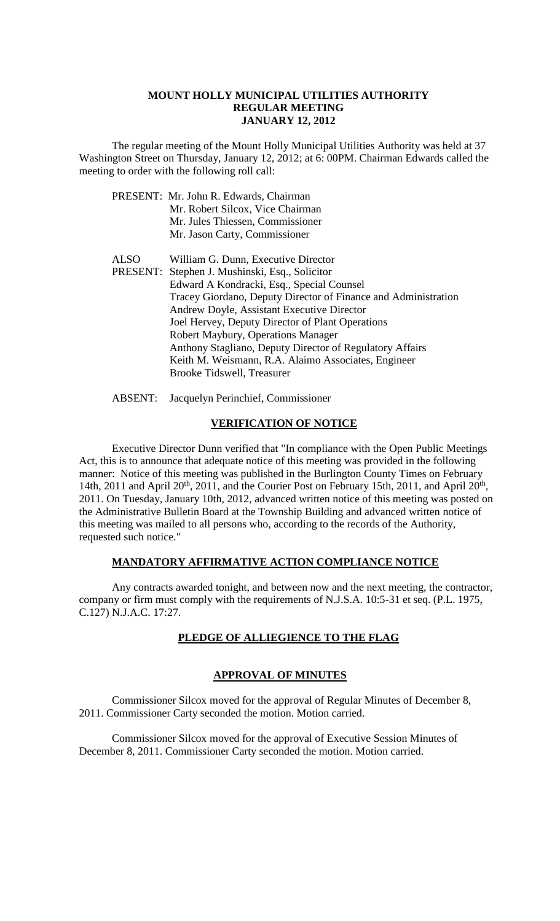#### **MOUNT HOLLY MUNICIPAL UTILITIES AUTHORITY REGULAR MEETING JANUARY 12, 2012**

The regular meeting of the Mount Holly Municipal Utilities Authority was held at 37 Washington Street on Thursday, January 12, 2012; at 6: 00PM. Chairman Edwards called the meeting to order with the following roll call:

|      | PRESENT: Mr. John R. Edwards, Chairman                         |
|------|----------------------------------------------------------------|
|      | Mr. Robert Silcox, Vice Chairman                               |
|      | Mr. Jules Thiessen, Commissioner                               |
|      | Mr. Jason Carty, Commissioner                                  |
| ALSO | William G. Dunn, Executive Director                            |
|      | PRESENT: Stephen J. Mushinski, Esq., Solicitor                 |
|      | Edward A Kondracki, Esq., Special Counsel                      |
|      | Tracey Giordano, Deputy Director of Finance and Administration |
|      | Andrew Doyle, Assistant Executive Director                     |
|      | Joel Hervey, Deputy Director of Plant Operations               |
|      | Robert Maybury, Operations Manager                             |
|      | Anthony Stagliano, Deputy Director of Regulatory Affairs       |
|      | Keith M. Weismann, R.A. Alaimo Associates, Engineer            |
|      | Brooke Tidswell, Treasurer                                     |
|      |                                                                |

ABSENT: Jacquelyn Perinchief, Commissioner

### **VERIFICATION OF NOTICE**

Executive Director Dunn verified that "In compliance with the Open Public Meetings Act, this is to announce that adequate notice of this meeting was provided in the following manner: Notice of this meeting was published in the Burlington County Times on February 14th, 2011 and April  $20^{th}$ , 2011, and the Courier Post on February 15th, 2011, and April  $20^{th}$ , 2011. On Tuesday, January 10th, 2012, advanced written notice of this meeting was posted on the Administrative Bulletin Board at the Township Building and advanced written notice of this meeting was mailed to all persons who, according to the records of the Authority, requested such notice."

# **MANDATORY AFFIRMATIVE ACTION COMPLIANCE NOTICE**

Any contracts awarded tonight, and between now and the next meeting, the contractor, company or firm must comply with the requirements of N.J.S.A. 10:5-31 et seq. (P.L. 1975, C.127) N.J.A.C. 17:27.

# **PLEDGE OF ALLIEGIENCE TO THE FLAG**

# **APPROVAL OF MINUTES**

Commissioner Silcox moved for the approval of Regular Minutes of December 8, 2011. Commissioner Carty seconded the motion. Motion carried.

Commissioner Silcox moved for the approval of Executive Session Minutes of December 8, 2011. Commissioner Carty seconded the motion. Motion carried.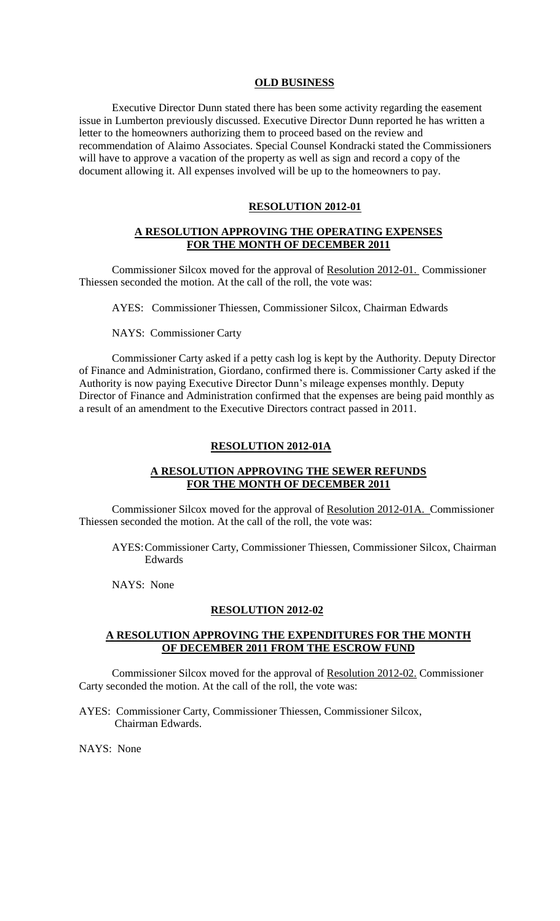#### **OLD BUSINESS**

Executive Director Dunn stated there has been some activity regarding the easement issue in Lumberton previously discussed. Executive Director Dunn reported he has written a letter to the homeowners authorizing them to proceed based on the review and recommendation of Alaimo Associates. Special Counsel Kondracki stated the Commissioners will have to approve a vacation of the property as well as sign and record a copy of the document allowing it. All expenses involved will be up to the homeowners to pay.

#### **RESOLUTION 2012-01**

### **A RESOLUTION APPROVING THE OPERATING EXPENSES FOR THE MONTH OF DECEMBER 2011**

Commissioner Silcox moved for the approval of Resolution 2012-01. Commissioner Thiessen seconded the motion. At the call of the roll, the vote was:

AYES: Commissioner Thiessen, Commissioner Silcox, Chairman Edwards

NAYS: Commissioner Carty

Commissioner Carty asked if a petty cash log is kept by the Authority. Deputy Director of Finance and Administration, Giordano, confirmed there is. Commissioner Carty asked if the Authority is now paying Executive Director Dunn's mileage expenses monthly. Deputy Director of Finance and Administration confirmed that the expenses are being paid monthly as a result of an amendment to the Executive Directors contract passed in 2011.

#### **RESOLUTION 2012-01A**

# **A RESOLUTION APPROVING THE SEWER REFUNDS FOR THE MONTH OF DECEMBER 2011**

Commissioner Silcox moved for the approval of Resolution 2012-01A. Commissioner Thiessen seconded the motion. At the call of the roll, the vote was:

AYES:Commissioner Carty, Commissioner Thiessen, Commissioner Silcox, Chairman Edwards

NAYS: None

#### **RESOLUTION 2012-02**

## **A RESOLUTION APPROVING THE EXPENDITURES FOR THE MONTH OF DECEMBER 2011 FROM THE ESCROW FUND**

Commissioner Silcox moved for the approval of Resolution 2012-02. Commissioner Carty seconded the motion. At the call of the roll, the vote was:

AYES: Commissioner Carty, Commissioner Thiessen, Commissioner Silcox, Chairman Edwards.

NAYS: None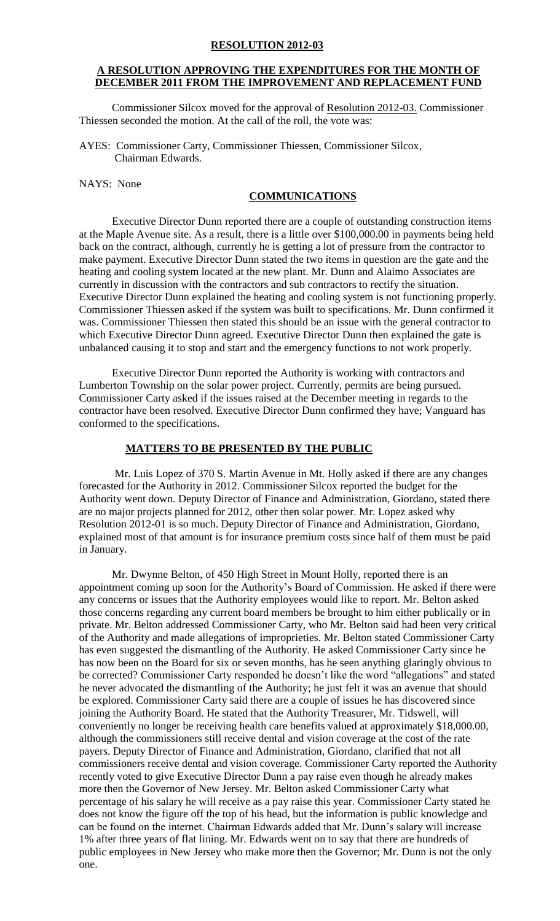#### **RESOLUTION 2012-03**

# **A RESOLUTION APPROVING THE EXPENDITURES FOR THE MONTH OF DECEMBER 2011 FROM THE IMPROVEMENT AND REPLACEMENT FUND**

Commissioner Silcox moved for the approval of Resolution 2012-03. Commissioner Thiessen seconded the motion. At the call of the roll, the vote was:

AYES: Commissioner Carty, Commissioner Thiessen, Commissioner Silcox, Chairman Edwards.

NAYS: None

### **COMMUNICATIONS**

Executive Director Dunn reported there are a couple of outstanding construction items at the Maple Avenue site. As a result, there is a little over \$100,000.00 in payments being held back on the contract, although, currently he is getting a lot of pressure from the contractor to make payment. Executive Director Dunn stated the two items in question are the gate and the heating and cooling system located at the new plant. Mr. Dunn and Alaimo Associates are currently in discussion with the contractors and sub contractors to rectify the situation. Executive Director Dunn explained the heating and cooling system is not functioning properly. Commissioner Thiessen asked if the system was built to specifications. Mr. Dunn confirmed it was. Commissioner Thiessen then stated this should be an issue with the general contractor to which Executive Director Dunn agreed. Executive Director Dunn then explained the gate is unbalanced causing it to stop and start and the emergency functions to not work properly.

Executive Director Dunn reported the Authority is working with contractors and Lumberton Township on the solar power project. Currently, permits are being pursued. Commissioner Carty asked if the issues raised at the December meeting in regards to the contractor have been resolved. Executive Director Dunn confirmed they have; Vanguard has conformed to the specifications.

#### **MATTERS TO BE PRESENTED BY THE PUBLIC**

Mr. Luis Lopez of 370 S. Martin Avenue in Mt. Holly asked if there are any changes forecasted for the Authority in 2012. Commissioner Silcox reported the budget for the Authority went down. Deputy Director of Finance and Administration, Giordano, stated there are no major projects planned for 2012, other then solar power. Mr. Lopez asked why Resolution 2012-01 is so much. Deputy Director of Finance and Administration, Giordano, explained most of that amount is for insurance premium costs since half of them must be paid in January.

Mr. Dwynne Belton, of 450 High Street in Mount Holly, reported there is an appointment coming up soon for the Authority's Board of Commission. He asked if there were any concerns or issues that the Authority employees would like to report. Mr. Belton asked those concerns regarding any current board members be brought to him either publically or in private. Mr. Belton addressed Commissioner Carty, who Mr. Belton said had been very critical of the Authority and made allegations of improprieties. Mr. Belton stated Commissioner Carty has even suggested the dismantling of the Authority. He asked Commissioner Carty since he has now been on the Board for six or seven months, has he seen anything glaringly obvious to be corrected? Commissioner Carty responded he doesn't like the word "allegations" and stated he never advocated the dismantling of the Authority; he just felt it was an avenue that should be explored. Commissioner Carty said there are a couple of issues he has discovered since joining the Authority Board. He stated that the Authority Treasurer, Mr. Tidswell, will conveniently no longer be receiving health care benefits valued at approximately \$18,000.00, although the commissioners still receive dental and vision coverage at the cost of the rate payers. Deputy Director of Finance and Administration, Giordano, clarified that not all commissioners receive dental and vision coverage. Commissioner Carty reported the Authority recently voted to give Executive Director Dunn a pay raise even though he already makes more then the Governor of New Jersey. Mr. Belton asked Commissioner Carty what percentage of his salary he will receive as a pay raise this year. Commissioner Carty stated he does not know the figure off the top of his head, but the information is public knowledge and can be found on the internet. Chairman Edwards added that Mr. Dunn's salary will increase 1% after three years of flat lining. Mr. Edwards went on to say that there are hundreds of public employees in New Jersey who make more then the Governor; Mr. Dunn is not the only one.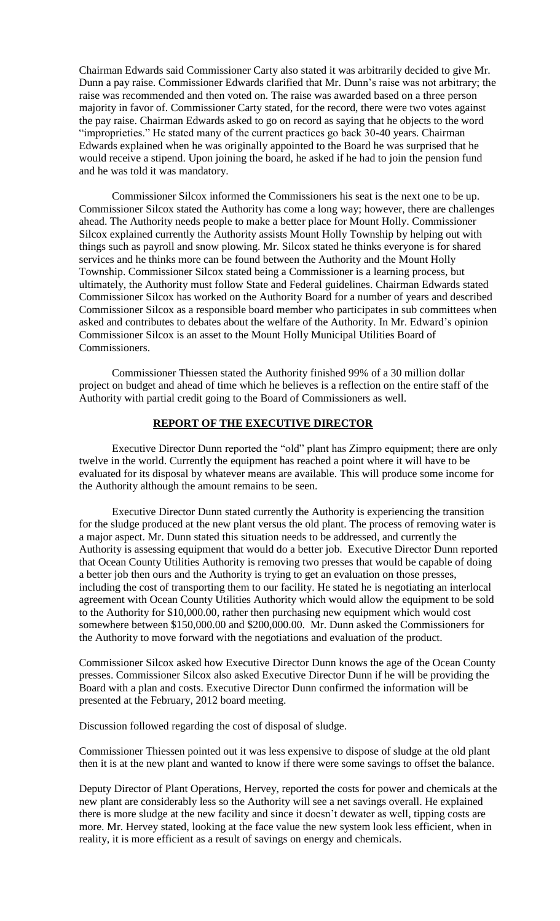Chairman Edwards said Commissioner Carty also stated it was arbitrarily decided to give Mr. Dunn a pay raise. Commissioner Edwards clarified that Mr. Dunn's raise was not arbitrary; the raise was recommended and then voted on. The raise was awarded based on a three person majority in favor of. Commissioner Carty stated, for the record, there were two votes against the pay raise. Chairman Edwards asked to go on record as saying that he objects to the word "improprieties." He stated many of the current practices go back 30-40 years. Chairman Edwards explained when he was originally appointed to the Board he was surprised that he would receive a stipend. Upon joining the board, he asked if he had to join the pension fund and he was told it was mandatory.

Commissioner Silcox informed the Commissioners his seat is the next one to be up. Commissioner Silcox stated the Authority has come a long way; however, there are challenges ahead. The Authority needs people to make a better place for Mount Holly. Commissioner Silcox explained currently the Authority assists Mount Holly Township by helping out with things such as payroll and snow plowing. Mr. Silcox stated he thinks everyone is for shared services and he thinks more can be found between the Authority and the Mount Holly Township. Commissioner Silcox stated being a Commissioner is a learning process, but ultimately, the Authority must follow State and Federal guidelines. Chairman Edwards stated Commissioner Silcox has worked on the Authority Board for a number of years and described Commissioner Silcox as a responsible board member who participates in sub committees when asked and contributes to debates about the welfare of the Authority. In Mr. Edward's opinion Commissioner Silcox is an asset to the Mount Holly Municipal Utilities Board of Commissioners.

Commissioner Thiessen stated the Authority finished 99% of a 30 million dollar project on budget and ahead of time which he believes is a reflection on the entire staff of the Authority with partial credit going to the Board of Commissioners as well.

#### **REPORT OF THE EXECUTIVE DIRECTOR**

Executive Director Dunn reported the "old" plant has Zimpro equipment; there are only twelve in the world. Currently the equipment has reached a point where it will have to be evaluated for its disposal by whatever means are available. This will produce some income for the Authority although the amount remains to be seen.

Executive Director Dunn stated currently the Authority is experiencing the transition for the sludge produced at the new plant versus the old plant. The process of removing water is a major aspect. Mr. Dunn stated this situation needs to be addressed, and currently the Authority is assessing equipment that would do a better job. Executive Director Dunn reported that Ocean County Utilities Authority is removing two presses that would be capable of doing a better job then ours and the Authority is trying to get an evaluation on those presses, including the cost of transporting them to our facility. He stated he is negotiating an interlocal agreement with Ocean County Utilities Authority which would allow the equipment to be sold to the Authority for \$10,000.00, rather then purchasing new equipment which would cost somewhere between \$150,000.00 and \$200,000.00. Mr. Dunn asked the Commissioners for the Authority to move forward with the negotiations and evaluation of the product.

Commissioner Silcox asked how Executive Director Dunn knows the age of the Ocean County presses. Commissioner Silcox also asked Executive Director Dunn if he will be providing the Board with a plan and costs. Executive Director Dunn confirmed the information will be presented at the February, 2012 board meeting.

Discussion followed regarding the cost of disposal of sludge.

Commissioner Thiessen pointed out it was less expensive to dispose of sludge at the old plant then it is at the new plant and wanted to know if there were some savings to offset the balance.

Deputy Director of Plant Operations, Hervey, reported the costs for power and chemicals at the new plant are considerably less so the Authority will see a net savings overall. He explained there is more sludge at the new facility and since it doesn't dewater as well, tipping costs are more. Mr. Hervey stated, looking at the face value the new system look less efficient, when in reality, it is more efficient as a result of savings on energy and chemicals.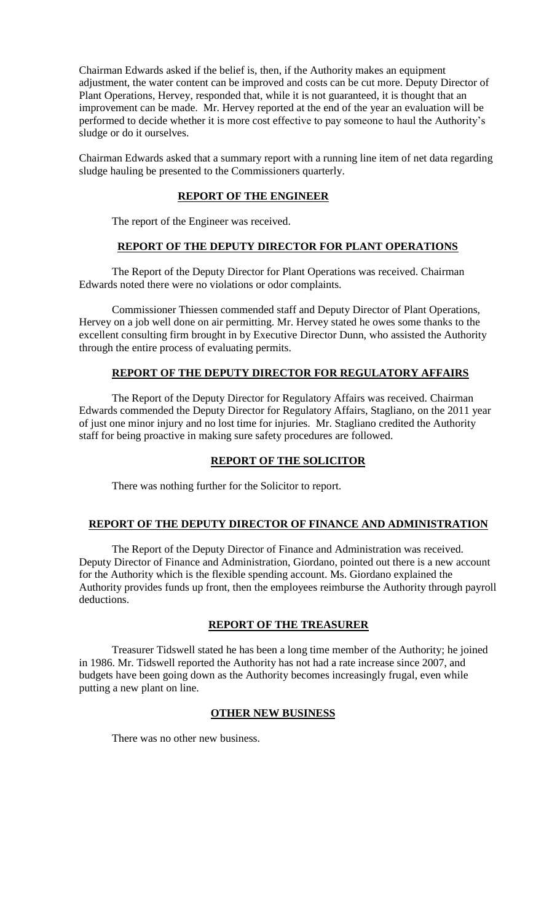Chairman Edwards asked if the belief is, then, if the Authority makes an equipment adjustment, the water content can be improved and costs can be cut more. Deputy Director of Plant Operations, Hervey, responded that, while it is not guaranteed, it is thought that an improvement can be made. Mr. Hervey reported at the end of the year an evaluation will be performed to decide whether it is more cost effective to pay someone to haul the Authority's sludge or do it ourselves.

Chairman Edwards asked that a summary report with a running line item of net data regarding sludge hauling be presented to the Commissioners quarterly.

## **REPORT OF THE ENGINEER**

The report of the Engineer was received.

# **REPORT OF THE DEPUTY DIRECTOR FOR PLANT OPERATIONS**

The Report of the Deputy Director for Plant Operations was received. Chairman Edwards noted there were no violations or odor complaints.

Commissioner Thiessen commended staff and Deputy Director of Plant Operations, Hervey on a job well done on air permitting. Mr. Hervey stated he owes some thanks to the excellent consulting firm brought in by Executive Director Dunn, who assisted the Authority through the entire process of evaluating permits.

## **REPORT OF THE DEPUTY DIRECTOR FOR REGULATORY AFFAIRS**

The Report of the Deputy Director for Regulatory Affairs was received. Chairman Edwards commended the Deputy Director for Regulatory Affairs, Stagliano, on the 2011 year of just one minor injury and no lost time for injuries. Mr. Stagliano credited the Authority staff for being proactive in making sure safety procedures are followed.

### **REPORT OF THE SOLICITOR**

There was nothing further for the Solicitor to report.

### **REPORT OF THE DEPUTY DIRECTOR OF FINANCE AND ADMINISTRATION**

The Report of the Deputy Director of Finance and Administration was received. Deputy Director of Finance and Administration, Giordano, pointed out there is a new account for the Authority which is the flexible spending account. Ms. Giordano explained the Authority provides funds up front, then the employees reimburse the Authority through payroll deductions.

### **REPORT OF THE TREASURER**

Treasurer Tidswell stated he has been a long time member of the Authority; he joined in 1986. Mr. Tidswell reported the Authority has not had a rate increase since 2007, and budgets have been going down as the Authority becomes increasingly frugal, even while putting a new plant on line.

## **OTHER NEW BUSINESS**

There was no other new business.